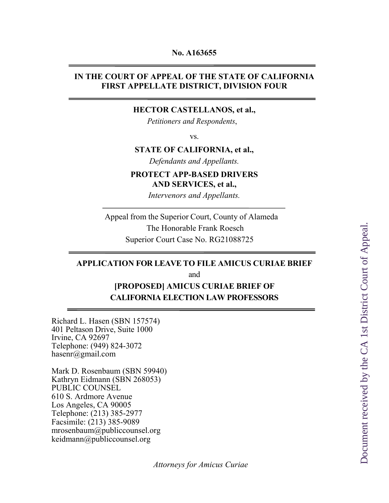#### **No. A163655**

## **IN THE COURT OF APPEAL OF THE STATE OF CALIFORNIA FIRST APPELLATE DISTRICT, DIVISION FOUR**

## **HECTOR CASTELLANOS, et al.,**

 *Petitioners and Respondents*,

vs.

### **STATE OF CALIFORNIA, et al.,**

*Defendants and Appellants.*

## **PROTECT APP-BASED DRIVERS AND SERVICES, et al.,**

*Intervenors and Appellants.*

 Appeal from the Superior Court, County of Alameda The Honorable Frank Roesch Superior Court Case No. RG21088725

## **APPLICATION FOR LEAVE TO FILE AMICUS CURIAE BRIEF** and **[PROPOSED] AMICUS CURIAE BRIEF OF**

## **CALIFORNIA ELECTION LAW PROFESSORS**

Richard L. Hasen (SBN 157574) 401 Peltason Drive, Suite 1000 Irvine, CA 92697 Telephone: (949) 824-3072 hasenr@gmail.com

Mark D. Rosenbaum (SBN 59940) Kathryn Eidmann (SBN 268053) PUBLIC COUNSEL 610 S. Ardmore Avenue Los Angeles, CA 90005 Telephone: (213) 385-2977 Facsimile: (213) 385-9089 mrosenbaum@publiccounsel.org keidmann@publiccounsel.org

*Attorneys for Amicus Curiae*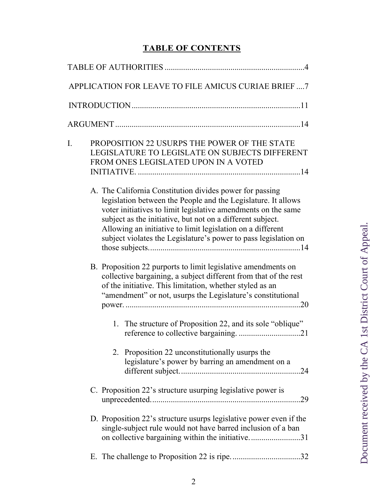# **TABLE OF CONTENTS**

|    | APPLICATION FOR LEAVE TO FILE AMICUS CURIAE BRIEF7                                                                                                                                                                                                                                                                                                                                        |  |  |  |
|----|-------------------------------------------------------------------------------------------------------------------------------------------------------------------------------------------------------------------------------------------------------------------------------------------------------------------------------------------------------------------------------------------|--|--|--|
|    |                                                                                                                                                                                                                                                                                                                                                                                           |  |  |  |
|    |                                                                                                                                                                                                                                                                                                                                                                                           |  |  |  |
| I. | PROPOSITION 22 USURPS THE POWER OF THE STATE<br>LEGISLATURE TO LEGISLATE ON SUBJECTS DIFFERENT<br>FROM ONES LEGISLATED UPON IN A VOTED                                                                                                                                                                                                                                                    |  |  |  |
|    | A. The California Constitution divides power for passing<br>legislation between the People and the Legislature. It allows<br>voter initiatives to limit legislative amendments on the same<br>subject as the initiative, but not on a different subject.<br>Allowing an initiative to limit legislation on a different<br>subject violates the Legislature's power to pass legislation on |  |  |  |
|    | B. Proposition 22 purports to limit legislative amendments on<br>collective bargaining, a subject different from that of the rest<br>of the initiative. This limitation, whether styled as an<br>"amendment" or not, usurps the Legislature's constitutional                                                                                                                              |  |  |  |
|    | 1. The structure of Proposition 22, and its sole "oblique"                                                                                                                                                                                                                                                                                                                                |  |  |  |
|    | 2. Proposition 22 unconstitutionally usurps the<br>legislature's power by barring an amendment on a                                                                                                                                                                                                                                                                                       |  |  |  |
|    | C. Proposition 22's structure usurping legislative power is<br>.29                                                                                                                                                                                                                                                                                                                        |  |  |  |
|    | D. Proposition 22's structure usurps legislative power even if the<br>single-subject rule would not have barred inclusion of a ban<br>on collective bargaining within the initiative31                                                                                                                                                                                                    |  |  |  |
|    |                                                                                                                                                                                                                                                                                                                                                                                           |  |  |  |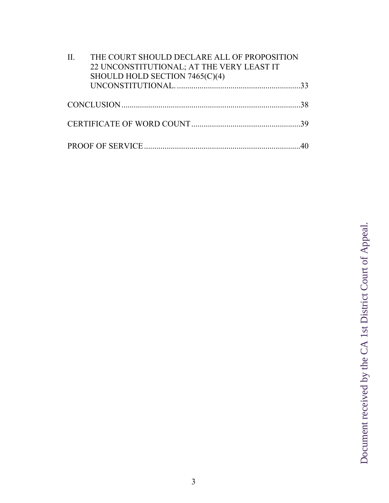| II. | THE COURT SHOULD DECLARE ALL OF PROPOSITION<br>22 UNCONSTITUTIONAL; AT THE VERY LEAST IT<br>SHOULD HOLD SECTION 7465(C)(4) |  |
|-----|----------------------------------------------------------------------------------------------------------------------------|--|
|     |                                                                                                                            |  |
|     |                                                                                                                            |  |
|     |                                                                                                                            |  |
|     |                                                                                                                            |  |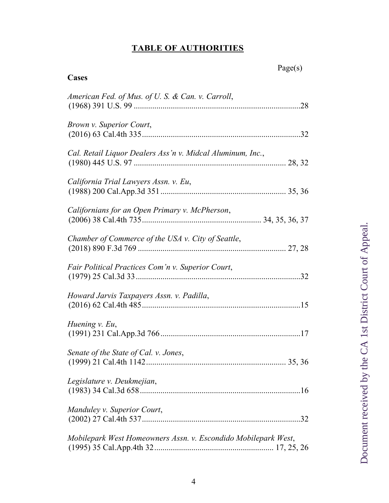## **TABLE OF AUTHORITIES**

| Cases                                                          | Page(s) |
|----------------------------------------------------------------|---------|
| American Fed. of Mus. of U.S. & Can. v. Carroll,               |         |
| <i>Brown v. Superior Court,</i>                                |         |
| Cal. Retail Liquor Dealers Ass'n v. Midcal Aluminum, Inc.,     |         |
| California Trial Lawyers Assn. v. Eu,                          |         |
| Californians for an Open Primary v. McPherson,                 |         |
| Chamber of Commerce of the USA v. City of Seattle,             |         |
| <i>Fair Political Practices Com'n v. Superior Court,</i>       |         |
| Howard Jarvis Taxpayers Assn. v. Padilla,                      |         |
| Huening v. Eu,                                                 |         |
| Senate of the State of Cal. v. Jones,                          |         |
| Legislature v. Deukmejian,                                     |         |
| Manduley v. Superior Court,                                    |         |
| Mobilepark West Homeowners Assn. v. Escondido Mobilepark West, |         |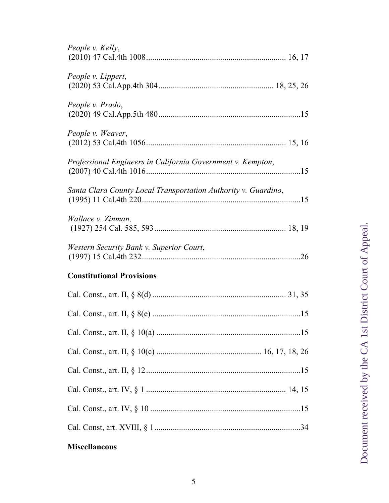# **Miscellaneous**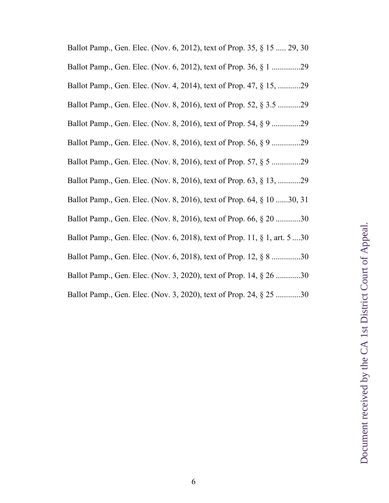| Ballot Pamp., Gen. Elec. (Nov. 6, 2012), text of Prop. 35, § 15  29, 30   |
|---------------------------------------------------------------------------|
| Ballot Pamp., Gen. Elec. (Nov. 6, 2012), text of Prop. 36, § 1 29         |
| Ballot Pamp., Gen. Elec. (Nov. 4, 2014), text of Prop. 47, § 15, 29       |
| Ballot Pamp., Gen. Elec. (Nov. 8, 2016), text of Prop. 52, § 3.5 29       |
| Ballot Pamp., Gen. Elec. (Nov. 8, 2016), text of Prop. 54, § 9 29         |
| Ballot Pamp., Gen. Elec. (Nov. 8, 2016), text of Prop. 56, § 9 29         |
| Ballot Pamp., Gen. Elec. (Nov. 8, 2016), text of Prop. 57, § 5 29         |
| Ballot Pamp., Gen. Elec. (Nov. 8, 2016), text of Prop. 63, § 13, 29       |
| Ballot Pamp., Gen. Elec. (Nov. 8, 2016), text of Prop. 64, § 10 30, 31    |
| Ballot Pamp., Gen. Elec. (Nov. 8, 2016), text of Prop. 66, § 20 30        |
| Ballot Pamp., Gen. Elec. (Nov. 6, 2018), text of Prop. 11, § 1, art. 5 30 |
| Ballot Pamp., Gen. Elec. (Nov. 6, 2018), text of Prop. 12, § 8 30         |
| Ballot Pamp., Gen. Elec. (Nov. 3, 2020), text of Prop. 14, § 26 30        |
| Ballot Pamp., Gen. Elec. (Nov. 3, 2020), text of Prop. 24, § 25 30        |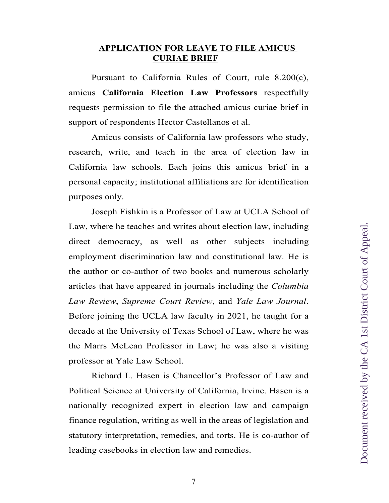## **APPLICATION FOR LEAVE TO FILE AMICUS CURIAE BRIEF**

Pursuant to California Rules of Court, rule 8.200(c), amicus **California Election Law Professors** respectfully requests permission to file the attached amicus curiae brief in support of respondents Hector Castellanos et al.

Amicus consists of California law professors who study, research, write, and teach in the area of election law in California law schools. Each joins this amicus brief in a personal capacity; institutional affiliations are for identification purposes only.

Joseph Fishkin is a Professor of Law at UCLA School of Law, where he teaches and writes about election law, including direct democracy, as well as other subjects including employment discrimination law and constitutional law. He is the author or co-author of two books and numerous scholarly articles that have appeared in journals including the *Columbia Law Review*, *Supreme Court Review*, and *Yale Law Journal*. Before joining the UCLA law faculty in 2021, he taught for a decade at the University of Texas School of Law, where he was the Marrs McLean Professor in Law; he was also a visiting professor at Yale Law School.

Richard L. Hasen is Chancellor's Professor of Law and Political Science at University of California, Irvine. Hasen is a nationally recognized expert in election law and campaign finance regulation, writing as well in the areas of legislation and statutory interpretation, remedies, and torts. He is co-author of leading casebooks in election law and remedies.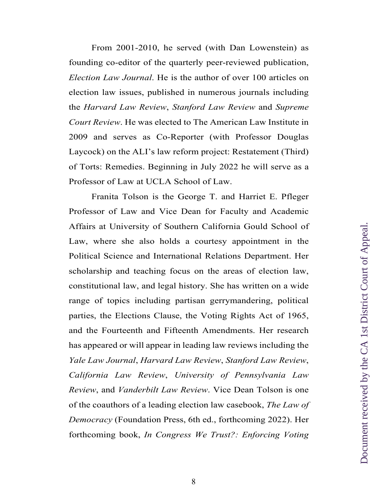From 2001-2010, he served (with Dan Lowenstein) as founding co-editor of the quarterly peer-reviewed publication, *Election Law Journal*. He is the author of over 100 articles on election law issues, published in numerous journals including the *Harvard Law Review*, *Stanford Law Review* and *Supreme Court Review*. He was elected to The American Law Institute in 2009 and serves as Co-Reporter (with Professor Douglas Laycock) on the ALI's law reform project: Restatement (Third) of Torts: Remedies. Beginning in July 2022 he will serve as a Professor of Law at UCLA School of Law.

Franita Tolson is the George T. and Harriet E. Pfleger Professor of Law and Vice Dean for Faculty and Academic Affairs at University of Southern California Gould School of Law, where she also holds a courtesy appointment in the Political Science and International Relations Department. Her scholarship and teaching focus on the areas of election law, constitutional law, and legal history. She has written on a wide range of topics including partisan gerrymandering, political parties, the Elections Clause, the Voting Rights Act of 1965, and the Fourteenth and Fifteenth Amendments. Her research has appeared or will appear in leading law reviews including the *Yale Law Journal*, *Harvard Law Review*, *Stanford Law Review*, *California Law Review*, *University of Pennsylvania Law Review*, and *Vanderbilt Law Review*. Vice Dean Tolson is one of the coauthors of a leading election law casebook, *The Law of Democracy* (Foundation Press, 6th ed., forthcoming 2022). Her forthcoming book, *In Congress We Trust?: Enforcing Voting*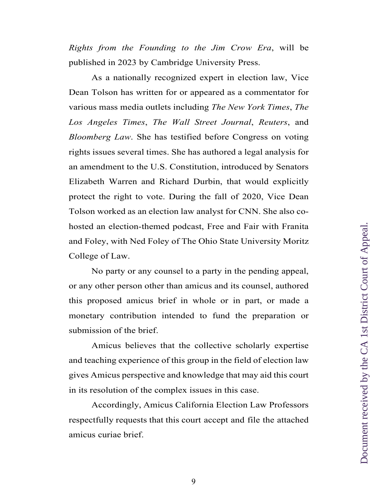*Rights from the Founding to the Jim Crow Era*, will be published in 2023 by Cambridge University Press.

As a nationally recognized expert in election law, Vice Dean Tolson has written for or appeared as a commentator for various mass media outlets including *The New York Times*, *The Los Angeles Times*, *The Wall Street Journal*, *Reuters*, and *Bloomberg Law*. She has testified before Congress on voting rights issues several times. She has authored a legal analysis for an amendment to the U.S. Constitution, introduced by Senators Elizabeth Warren and Richard Durbin, that would explicitly protect the right to vote. During the fall of 2020, Vice Dean Tolson worked as an election law analyst for CNN. She also cohosted an election-themed podcast, Free and Fair with Franita and Foley, with Ned Foley of The Ohio State University Moritz College of Law.

No party or any counsel to a party in the pending appeal, or any other person other than amicus and its counsel, authored this proposed amicus brief in whole or in part, or made a monetary contribution intended to fund the preparation or submission of the brief.

Amicus believes that the collective scholarly expertise and teaching experience of this group in the field of election law gives Amicus perspective and knowledge that may aid this court in its resolution of the complex issues in this case.

Accordingly, Amicus California Election Law Professors respectfully requests that this court accept and file the attached amicus curiae brief.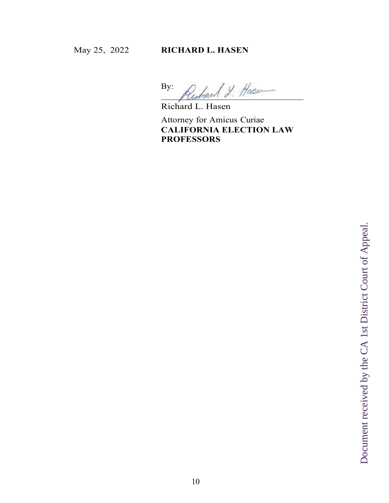By: y Hass

Richard L. Hasen

Attorney for Amicus Curiae **CALIFORNIA ELECTION LAW PROFESSORS**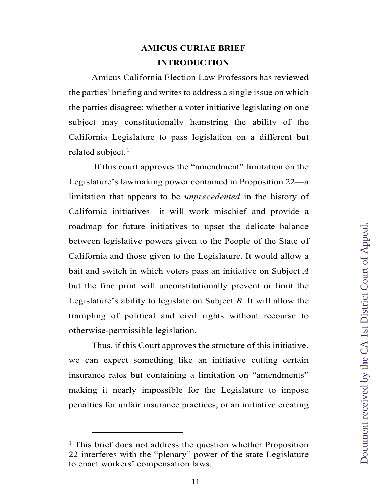# **AMICUS CURIAE BRIEF INTRODUCTION**

Amicus California Election Law Professors has reviewed the parties' briefing and writes to address a single issue on which the parties disagree: whether a voter initiative legislating on one subject may constitutionally hamstring the ability of the California Legislature to pass legislation on a different but related subject. $<sup>1</sup>$  $<sup>1</sup>$  $<sup>1</sup>$ </sup>

If this court approves the "amendment" limitation on the Legislature's lawmaking power contained in Proposition 22—a limitation that appears to be *unprecedented* in the history of California initiatives—it will work mischief and provide a roadmap for future initiatives to upset the delicate balance between legislative powers given to the People of the State of California and those given to the Legislature. It would allow a bait and switch in which voters pass an initiative on Subject *A* but the fine print will unconstitutionally prevent or limit the Legislature's ability to legislate on Subject *B*. It will allow the trampling of political and civil rights without recourse to otherwise-permissible legislation.

Thus, if this Court approves the structure of this initiative, we can expect something like an initiative cutting certain insurance rates but containing a limitation on "amendments" making it nearly impossible for the Legislature to impose penalties for unfair insurance practices, or an initiative creating

<span id="page-10-0"></span><sup>&</sup>lt;sup>1</sup> This brief does not address the question whether Proposition 22 interferes with the "plenary" power of the state Legislature to enact workers' compensation laws.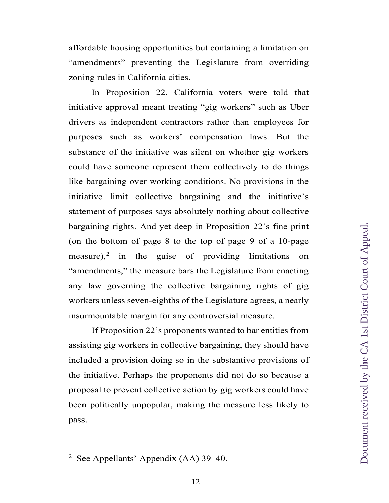affordable housing opportunities but containing a limitation on "amendments" preventing the Legislature from overriding zoning rules in California cities.

In Proposition 22, California voters were told that initiative approval meant treating "gig workers" such as Uber drivers as independent contractors rather than employees for purposes such as workers' compensation laws. But the substance of the initiative was silent on whether gig workers could have someone represent them collectively to do things like bargaining over working conditions. No provisions in the initiative limit collective bargaining and the initiative's statement of purposes says absolutely nothing about collective bargaining rights. And yet deep in Proposition 22's fine print (on the bottom of page 8 to the top of page 9 of a 10-page measure), [2](#page-11-0) in the guise of providing limitations on "amendments," the measure bars the Legislature from enacting any law governing the collective bargaining rights of gig workers unless seven-eighths of the Legislature agrees, a nearly insurmountable margin for any controversial measure.

If Proposition 22's proponents wanted to bar entities from assisting gig workers in collective bargaining, they should have included a provision doing so in the substantive provisions of the initiative. Perhaps the proponents did not do so because a proposal to prevent collective action by gig workers could have been politically unpopular, making the measure less likely to pass.

<span id="page-11-0"></span><sup>&</sup>lt;sup>2</sup> See Appellants' Appendix (AA) 39–40.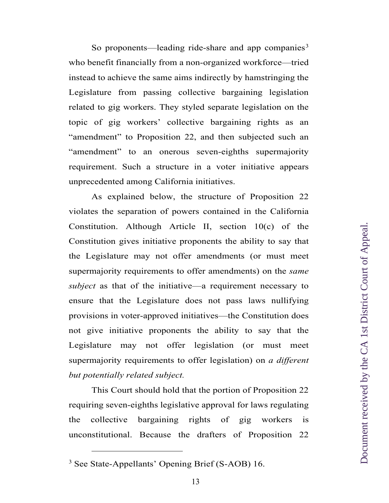So proponents—leading ride-share and app companies<sup>[3](#page-12-0)</sup> who benefit financially from a non-organized workforce—tried instead to achieve the same aims indirectly by hamstringing the Legislature from passing collective bargaining legislation related to gig workers. They styled separate legislation on the topic of gig workers' collective bargaining rights as an "amendment" to Proposition 22, and then subjected such an "amendment" to an onerous seven-eighths supermajority requirement. Such a structure in a voter initiative appears unprecedented among California initiatives.

As explained below, the structure of Proposition 22 violates the separation of powers contained in the California Constitution. Although Article II, section 10(c) of the Constitution gives initiative proponents the ability to say that the Legislature may not offer amendments (or must meet supermajority requirements to offer amendments) on the *same subject* as that of the initiative—a requirement necessary to ensure that the Legislature does not pass laws nullifying provisions in voter-approved initiatives—the Constitution does not give initiative proponents the ability to say that the Legislature may not offer legislation (or must meet supermajority requirements to offer legislation) on *a different but potentially related subject.*

This Court should hold that the portion of Proposition 22 requiring seven-eighths legislative approval for laws regulating the collective bargaining rights of gig workers is unconstitutional. Because the drafters of Proposition 22

<span id="page-12-0"></span><sup>3</sup> See State-Appellants' Opening Brief (S-AOB) 16.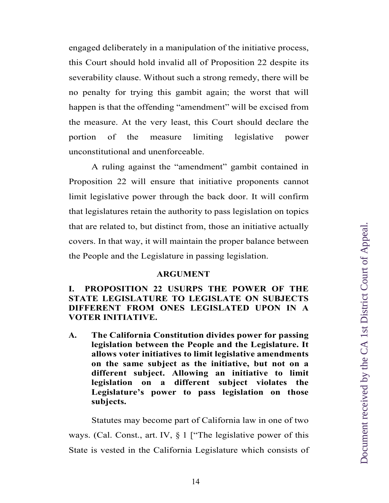engaged deliberately in a manipulation of the initiative process, this Court should hold invalid all of Proposition 22 despite its severability clause. Without such a strong remedy, there will be no penalty for trying this gambit again; the worst that will happen is that the offending "amendment" will be excised from the measure. At the very least, this Court should declare the portion of the measure limiting legislative power unconstitutional and unenforceable.

A ruling against the "amendment" gambit contained in Proposition 22 will ensure that initiative proponents cannot limit legislative power through the back door. It will confirm that legislatures retain the authority to pass legislation on topics that are related to, but distinct from, those an initiative actually covers. In that way, it will maintain the proper balance between the People and the Legislature in passing legislation.

#### **ARGUMENT**

**I. PROPOSITION 22 USURPS THE POWER OF THE STATE LEGISLATURE TO LEGISLATE ON SUBJECTS DIFFERENT FROM ONES LEGISLATED UPON IN A VOTER INITIATIVE.**

**A. The California Constitution divides power for passing legislation between the People and the Legislature. It allows voter initiatives to limit legislative amendments on the same subject as the initiative, but not on a different subject. Allowing an initiative to limit legislation on a different subject violates the Legislature's power to pass legislation on those subjects.**

Statutes may become part of California law in one of two ways. (Cal. Const., art. IV, § 1 ["The legislative power of this State is vested in the California Legislature which consists of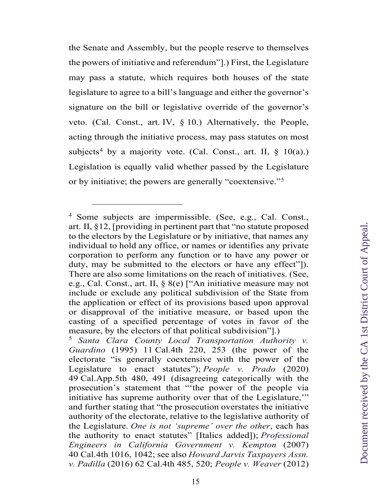the Senate and Assembly, but the people reserve to themselves the powers of initiative and referendum"].) First, the Legislature may pass a statute, which requires both houses of the state legislature to agree to a bill's language and either the governor's signature on the bill or legislative override of the governor's veto. (Cal. Const., art. IV, § 10.) Alternatively, the People, acting through the initiative process, may pass statutes on most subjects<sup>[4](#page-14-0)</sup> by a majority vote. (Cal. Const., art. II,  $\S$  10(a).) Legislation is equally valid whether passed by the Legislature or by initiative; the powers are generally "coextensive."[5](#page-14-1)

<span id="page-14-0"></span><sup>4</sup> Some subjects are impermissible. (See, e.g., Cal. Const., art. II, §12, [providing in pertinent part that "no statute proposed to the electors by the Legislature or by initiative, that names any individual to hold any office, or names or identifies any private corporation to perform any function or to have any power or duty, may be submitted to the electors or have any effect"]). There are also some limitations on the reach of initiatives. (See, e.g., Cal. Const., art. II, § 8(e) ["An initiative measure may not include or exclude any political subdivision of the State from the application or effect of its provisions based upon approval or disapproval of the initiative measure, or based upon the casting of a specified percentage of votes in favor of the measure, by the electors of that political subdivision"].)

<span id="page-14-1"></span><sup>5</sup> *Santa Clara County Local Transportation Authority v. Guardino* (1995) 11 Cal.4th 220, 253 (the power of the electorate "is generally coextensive with the power of the Legislature to enact statutes"); *People v. Prado* (2020) 49 Cal.App.5th 480, 491 (disagreeing categorically with the prosecution's statement that "'the power of the people via initiative has supreme authority over that of the Legislature," and further stating that "the prosecution overstates the initiative authority of the electorate, relative to the legislative authority of the Legislature. *One is not 'supreme' over the other*, each has the authority to enact statutes" [Italics added]); *Professional Engineers in California Government v. Kempton* (2007) 40 Cal.4th 1016, 1042; see also *Howard Jarvis Taxpayers Assn. v. Padilla* (2016) 62 Cal.4th 485, 520; *People v. Weaver* (2012)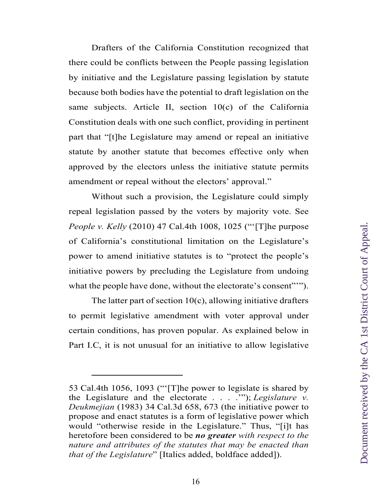Drafters of the California Constitution recognized that there could be conflicts between the People passing legislation by initiative and the Legislature passing legislation by statute because both bodies have the potential to draft legislation on the same subjects. Article II, section 10(c) of the California Constitution deals with one such conflict, providing in pertinent part that "[t]he Legislature may amend or repeal an initiative statute by another statute that becomes effective only when approved by the electors unless the initiative statute permits amendment or repeal without the electors' approval."

Without such a provision, the Legislature could simply repeal legislation passed by the voters by majority vote. See *People v. Kelly* (2010) 47 Cal.4th 1008, 1025 ("'[T]he purpose of California's constitutional limitation on the Legislature's power to amend initiative statutes is to "protect the people's initiative powers by precluding the Legislature from undoing what the people have done, without the electorate's consent""").

The latter part of section  $10(c)$ , allowing initiative drafters to permit legislative amendment with voter approval under certain conditions, has proven popular. As explained below in Part I.C, it is not unusual for an initiative to allow legislative

<sup>53</sup> Cal.4th 1056, 1093 ("'[T]he power to legislate is shared by the Legislature and the electorate . . . .'"); *Legislature v. Deukmejian* (1983) 34 Cal.3d 658, 673 (the initiative power to propose and enact statutes is a form of legislative power which would "otherwise reside in the Legislature." Thus, "[i]t has heretofore been considered to be *no greater with respect to the nature and attributes of the statutes that may be enacted than that of the Legislature*" [Italics added, boldface added]).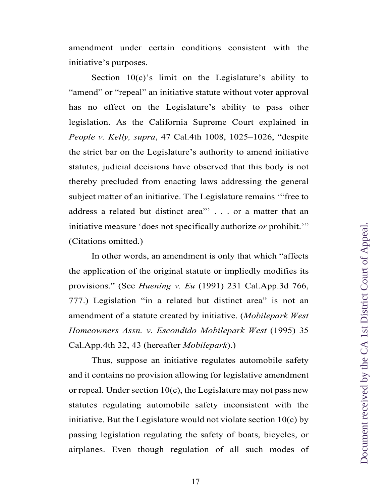amendment under certain conditions consistent with the initiative's purposes.

Section  $10(c)$ 's limit on the Legislature's ability to "amend" or "repeal" an initiative statute without voter approval has no effect on the Legislature's ability to pass other legislation. As the California Supreme Court explained in *People v. Kelly, supra*, 47 Cal.4th 1008, 1025–1026, "despite the strict bar on the Legislature's authority to amend initiative statutes, judicial decisions have observed that this body is not thereby precluded from enacting laws addressing the general subject matter of an initiative. The Legislature remains '"free to address a related but distinct area"' . . . or a matter that an initiative measure 'does not specifically authorize *or* prohibit.'" (Citations omitted.)

In other words, an amendment is only that which "affects the application of the original statute or impliedly modifies its provisions." (See *Huening v. Eu* (1991) 231 Cal.App.3d 766, 777.) Legislation "in a related but distinct area" is not an amendment of a statute created by initiative. (*Mobilepark West Homeowners Assn. v. Escondido Mobilepark West* (1995) 35 Cal.App.4th 32, 43 (hereafter *Mobilepark*).)

Thus, suppose an initiative regulates automobile safety and it contains no provision allowing for legislative amendment or repeal. Under section  $10(c)$ , the Legislature may not pass new statutes regulating automobile safety inconsistent with the initiative. But the Legislature would not violate section  $10(c)$  by passing legislation regulating the safety of boats, bicycles, or airplanes. Even though regulation of all such modes of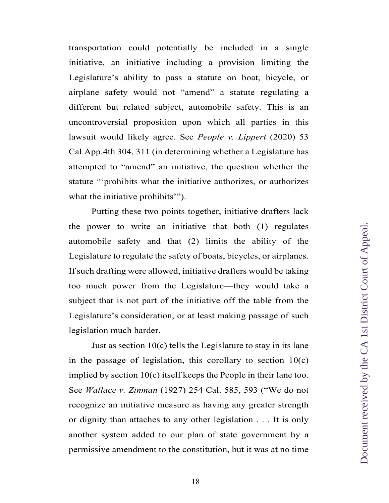transportation could potentially be included in a single initiative, an initiative including a provision limiting the Legislature's ability to pass a statute on boat, bicycle, or airplane safety would not "amend" a statute regulating a different but related subject, automobile safety. This is an uncontroversial proposition upon which all parties in this lawsuit would likely agree. See *People v. Lippert* (2020) 53 Cal.App.4th 304, 311 (in determining whether a Legislature has attempted to "amend" an initiative, the question whether the statute "'prohibits what the initiative authorizes, or authorizes what the initiative prohibits'").

Putting these two points together, initiative drafters lack the power to write an initiative that both (1) regulates automobile safety and that (2) limits the ability of the Legislature to regulate the safety of boats, bicycles, or airplanes. If such drafting were allowed, initiative drafters would be taking too much power from the Legislature—they would take a subject that is not part of the initiative off the table from the Legislature's consideration, or at least making passage of such legislation much harder.

Just as section  $10(c)$  tells the Legislature to stay in its lane in the passage of legislation, this corollary to section  $10(c)$ implied by section 10(c) itself keeps the People in their lane too. See *Wallace v. Zinman* (1927) 254 Cal. 585, 593 ("We do not recognize an initiative measure as having any greater strength or dignity than attaches to any other legislation . . . It is only another system added to our plan of state government by a permissive amendment to the constitution, but it was at no time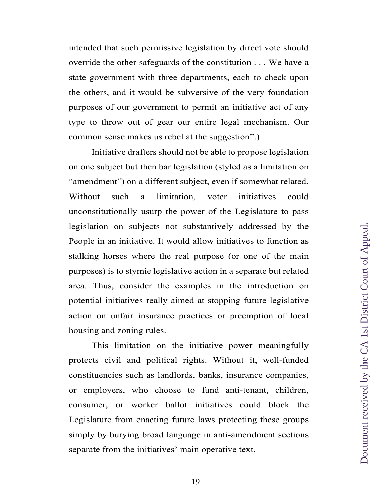intended that such permissive legislation by direct vote should override the other safeguards of the constitution . . . We have a state government with three departments, each to check upon the others, and it would be subversive of the very foundation purposes of our government to permit an initiative act of any type to throw out of gear our entire legal mechanism. Our common sense makes us rebel at the suggestion".)

Initiative drafters should not be able to propose legislation on one subject but then bar legislation (styled as a limitation on "amendment") on a different subject, even if somewhat related. Without such a limitation, voter initiatives could unconstitutionally usurp the power of the Legislature to pass legislation on subjects not substantively addressed by the People in an initiative. It would allow initiatives to function as stalking horses where the real purpose (or one of the main purposes) is to stymie legislative action in a separate but related area. Thus, consider the examples in the introduction on potential initiatives really aimed at stopping future legislative action on unfair insurance practices or preemption of local housing and zoning rules.

This limitation on the initiative power meaningfully protects civil and political rights. Without it, well-funded constituencies such as landlords, banks, insurance companies, or employers, who choose to fund anti-tenant, children, consumer, or worker ballot initiatives could block the Legislature from enacting future laws protecting these groups simply by burying broad language in anti-amendment sections separate from the initiatives' main operative text.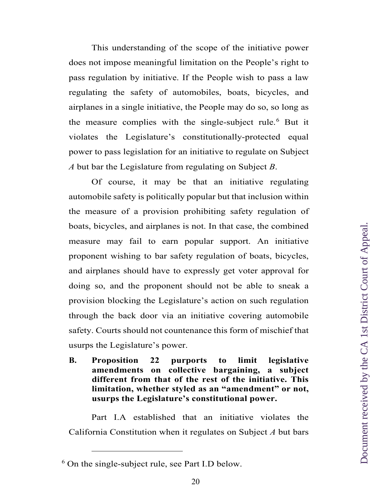This understanding of the scope of the initiative power does not impose meaningful limitation on the People's right to pass regulation by initiative. If the People wish to pass a law regulating the safety of automobiles, boats, bicycles, and airplanes in a single initiative, the People may do so, so long as the measure complies with the single-subject rule.<sup>[6](#page-19-0)</sup> But it violates the Legislature's constitutionally-protected equal power to pass legislation for an initiative to regulate on Subject *A* but bar the Legislature from regulating on Subject *B*.

Of course, it may be that an initiative regulating automobile safety is politically popular but that inclusion within the measure of a provision prohibiting safety regulation of boats, bicycles, and airplanes is not. In that case, the combined measure may fail to earn popular support. An initiative proponent wishing to bar safety regulation of boats, bicycles, and airplanes should have to expressly get voter approval for doing so, and the proponent should not be able to sneak a provision blocking the Legislature's action on such regulation through the back door via an initiative covering automobile safety. Courts should not countenance this form of mischief that usurps the Legislature's power.

**B. Proposition 22 purports to limit legislative amendments on collective bargaining, a subject different from that of the rest of the initiative. This limitation, whether styled as an "amendment" or not, usurps the Legislature's constitutional power.**

Part I.A established that an initiative violates the California Constitution when it regulates on Subject *A* but bars

<span id="page-19-0"></span><sup>6</sup> On the single-subject rule, see Part I.D below.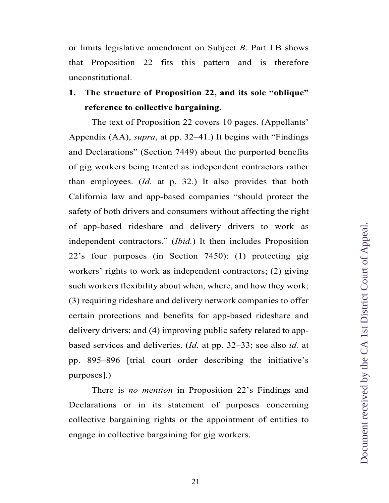or limits legislative amendment on Subject *B*. Part I.B shows that Proposition 22 fits this pattern and is therefore unconstitutional.

## **1. The structure of Proposition 22, and its sole "oblique" reference to collective bargaining.**

The text of Proposition 22 covers 10 pages. (Appellants' Appendix (AA), *supra*, at pp. 32–41.) It begins with "Findings and Declarations" (Section 7449) about the purported benefits of gig workers being treated as independent contractors rather than employees. (*Id.* at p. 32.) It also provides that both California law and app-based companies "should protect the safety of both drivers and consumers without affecting the right of app-based rideshare and delivery drivers to work as independent contractors." (*Ibid.*) It then includes Proposition 22's four purposes (in Section 7450): (1) protecting gig workers' rights to work as independent contractors; (2) giving such workers flexibility about when, where, and how they work; (3) requiring rideshare and delivery network companies to offer certain protections and benefits for app-based rideshare and delivery drivers; and (4) improving public safety related to appbased services and deliveries. (*Id.* at pp. 32–33; see also *id.* at pp. 895–896 [trial court order describing the initiative's purposes].)

There is *no mention* in Proposition 22's Findings and Declarations or in its statement of purposes concerning collective bargaining rights or the appointment of entities to engage in collective bargaining for gig workers.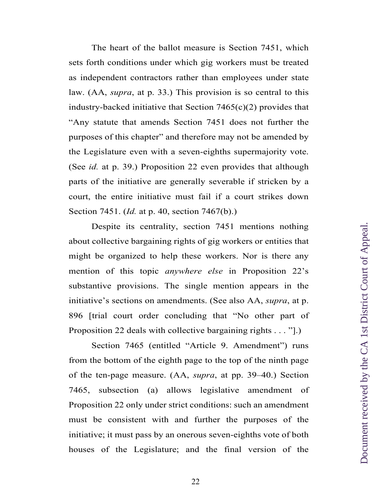The heart of the ballot measure is Section 7451, which sets forth conditions under which gig workers must be treated as independent contractors rather than employees under state law. (AA, *supra*, at p. 33.) This provision is so central to this industry-backed initiative that Section  $7465(c)(2)$  provides that "Any statute that amends Section 7451 does not further the purposes of this chapter" and therefore may not be amended by the Legislature even with a seven-eighths supermajority vote. (See *id.* at p. 39.) Proposition 22 even provides that although parts of the initiative are generally severable if stricken by a court, the entire initiative must fail if a court strikes down Section 7451. (*Id.* at p. 40, section 7467(b).)

Despite its centrality, section 7451 mentions nothing about collective bargaining rights of gig workers or entities that might be organized to help these workers. Nor is there any mention of this topic *anywhere else* in Proposition 22's substantive provisions. The single mention appears in the initiative's sections on amendments. (See also AA, *supra*, at p. 896 [trial court order concluding that "No other part of Proposition 22 deals with collective bargaining rights . . . "].)

Section 7465 (entitled "Article 9. Amendment") runs from the bottom of the eighth page to the top of the ninth page of the ten-page measure. (AA, *supra*, at pp. 39–40.) Section 7465, subsection (a) allows legislative amendment of Proposition 22 only under strict conditions: such an amendment must be consistent with and further the purposes of the initiative; it must pass by an onerous seven-eighths vote of both houses of the Legislature; and the final version of the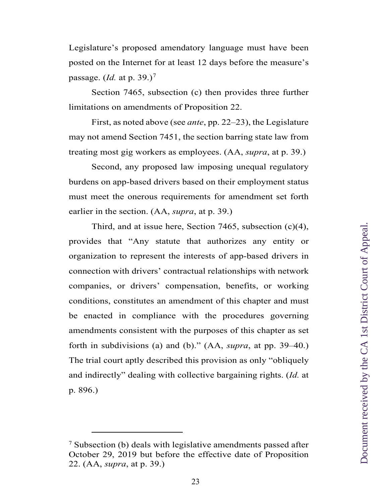Legislature's proposed amendatory language must have been posted on the Internet for at least 12 days before the measure's passage. (*Id.* at p. 39.)[7](#page-22-0)

Section 7465, subsection (c) then provides three further limitations on amendments of Proposition 22.

First, as noted above (see *ante*, pp. 22–23), the Legislature may not amend Section 7451, the section barring state law from treating most gig workers as employees. (AA, *supra*, at p. 39.)

Second, any proposed law imposing unequal regulatory burdens on app-based drivers based on their employment status must meet the onerous requirements for amendment set forth earlier in the section. (AA, *supra*, at p. 39.)

Third, and at issue here, Section 7465, subsection (c)(4), provides that "Any statute that authorizes any entity or organization to represent the interests of app-based drivers in connection with drivers' contractual relationships with network companies, or drivers' compensation, benefits, or working conditions, constitutes an amendment of this chapter and must be enacted in compliance with the procedures governing amendments consistent with the purposes of this chapter as set forth in subdivisions (a) and (b)." (AA, *supra*, at pp. 39–40.) The trial court aptly described this provision as only "obliquely and indirectly" dealing with collective bargaining rights. (*Id.* at p. 896.)

<span id="page-22-0"></span><sup>7</sup> Subsection (b) deals with legislative amendments passed after October 29, 2019 but before the effective date of Proposition 22. (AA, *supra*, at p. 39.)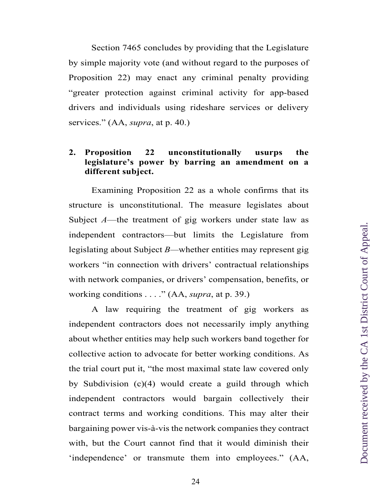Section 7465 concludes by providing that the Legislature by simple majority vote (and without regard to the purposes of Proposition 22) may enact any criminal penalty providing "greater protection against criminal activity for app-based drivers and individuals using rideshare services or delivery services." (AA, *supra*, at p. 40.)

## **2. Proposition 22 unconstitutionally usurps the legislature's power by barring an amendment on a different subject.**

Examining Proposition 22 as a whole confirms that its structure is unconstitutional. The measure legislates about Subject *A*—the treatment of gig workers under state law as independent contractors—but limits the Legislature from legislating about Subject *B—*whether entities may represent gig workers "in connection with drivers' contractual relationships with network companies, or drivers' compensation, benefits, or working conditions . . . ." (AA, *supra*, at p. 39.)

A law requiring the treatment of gig workers as independent contractors does not necessarily imply anything about whether entities may help such workers band together for collective action to advocate for better working conditions. As the trial court put it, "the most maximal state law covered only by Subdivision (c)(4) would create a guild through which independent contractors would bargain collectively their contract terms and working conditions. This may alter their bargaining power vis-à-vis the network companies they contract with, but the Court cannot find that it would diminish their 'independence' or transmute them into employees." (AA,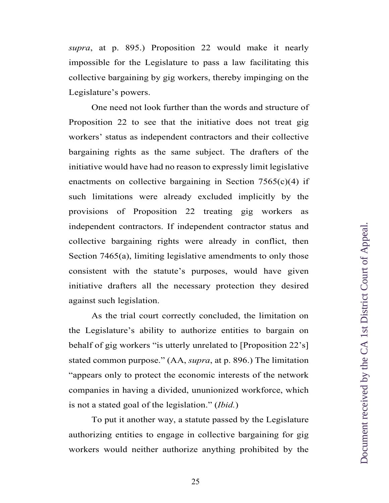*supra*, at p. 895.) Proposition 22 would make it nearly impossible for the Legislature to pass a law facilitating this collective bargaining by gig workers, thereby impinging on the Legislature's powers.

One need not look further than the words and structure of Proposition 22 to see that the initiative does not treat gig workers' status as independent contractors and their collective bargaining rights as the same subject. The drafters of the initiative would have had no reason to expressly limit legislative enactments on collective bargaining in Section  $7565(c)(4)$  if such limitations were already excluded implicitly by the provisions of Proposition 22 treating gig workers as independent contractors. If independent contractor status and collective bargaining rights were already in conflict, then Section 7465(a), limiting legislative amendments to only those consistent with the statute's purposes, would have given initiative drafters all the necessary protection they desired against such legislation.

As the trial court correctly concluded, the limitation on the Legislature's ability to authorize entities to bargain on behalf of gig workers "is utterly unrelated to [Proposition 22's] stated common purpose." (AA, *supra*, at p. 896.) The limitation "appears only to protect the economic interests of the network companies in having a divided, ununionized workforce, which is not a stated goal of the legislation." (*Ibid.*)

To put it another way, a statute passed by the Legislature authorizing entities to engage in collective bargaining for gig workers would neither authorize anything prohibited by the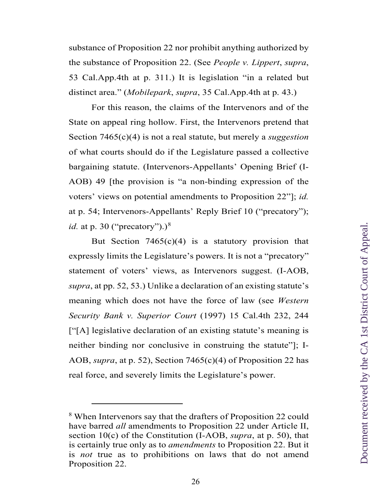substance of Proposition 22 nor prohibit anything authorized by the substance of Proposition 22. (See *People v. Lippert*, *supra*, 53 Cal.App.4th at p. 311.) It is legislation "in a related but distinct area." (*Mobilepark*, *supra*, 35 Cal.App.4th at p. 43.)

For this reason, the claims of the Intervenors and of the State on appeal ring hollow. First, the Intervenors pretend that Section 7465(c)(4) is not a real statute, but merely a *suggestion*  of what courts should do if the Legislature passed a collective bargaining statute. (Intervenors-Appellants' Opening Brief (I-AOB) 49 [the provision is "a non-binding expression of the voters' views on potential amendments to Proposition 22"]; *id.* at p. 54; Intervenors-Appellants' Reply Brief 10 ("precatory"); *id.* at p. 30 ("precatory").)<sup>[8](#page-25-0)</sup>

But Section  $7465(c)(4)$  is a statutory provision that expressly limits the Legislature's powers. It is not a "precatory" statement of voters' views, as Intervenors suggest. (I-AOB, *supra*, at pp. 52, 53.) Unlike a declaration of an existing statute's meaning which does not have the force of law (see *Western Security Bank v. Superior Court* (1997) 15 Cal.4th 232, 244 ["[A] legislative declaration of an existing statute's meaning is neither binding nor conclusive in construing the statute"]; I-AOB, *supra*, at p. 52), Section 7465(c)(4) of Proposition 22 has real force, and severely limits the Legislature's power.

<span id="page-25-0"></span><sup>8</sup> When Intervenors say that the drafters of Proposition 22 could have barred *all* amendments to Proposition 22 under Article II, section 10(c) of the Constitution (I-AOB, *supra*, at p. 50), that is certainly true only as to *amendments* to Proposition 22. But it is *not* true as to prohibitions on laws that do not amend Proposition 22.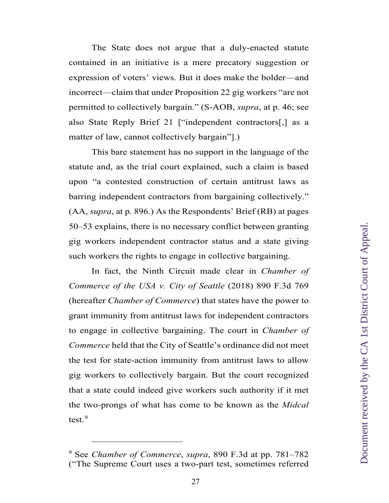The State does not argue that a duly-enacted statute contained in an initiative is a mere precatory suggestion or expression of voters' views. But it does make the bolder—and incorrect—claim that under Proposition 22 gig workers "are not permitted to collectively bargain." (S-AOB, *supra*, at p. 46; see also State Reply Brief 21 ["independent contractors[,] as a matter of law, cannot collectively bargain"].)

This bare statement has no support in the language of the statute and, as the trial court explained, such a claim is based upon "a contested construction of certain antitrust laws as barring independent contractors from bargaining collectively." (AA, *supra*, at p. 896.) As the Respondents' Brief (RB) at pages 50–53 explains, there is no necessary conflict between granting gig workers independent contractor status and a state giving such workers the rights to engage in collective bargaining.

In fact, the Ninth Circuit made clear in *Chamber of Commerce of the USA v. City of Seattle* (2018) 890 F.3d 769 (hereafter *Chamber of Commerce*) that states have the power to grant immunity from antitrust laws for independent contractors to engage in collective bargaining. The court in *Chamber of Commerce* held that the City of Seattle's ordinance did not meet the test for state-action immunity from antitrust laws to allow gig workers to collectively bargain. But the court recognized that a state could indeed give workers such authority if it met the two-prongs of what has come to be known as the *Midcal*  test.<sup>[9](#page-26-0)</sup>

<span id="page-26-0"></span><sup>9</sup> See *Chamber of Commerce*, *supra*, 890 F.3d at pp. 781–782 ("The Supreme Court uses a two-part test, sometimes referred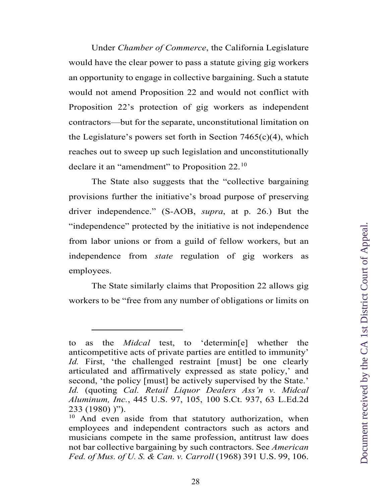Under *Chamber of Commerce*, the California Legislature would have the clear power to pass a statute giving gig workers an opportunity to engage in collective bargaining. Such a statute would not amend Proposition 22 and would not conflict with Proposition 22's protection of gig workers as independent contractors—but for the separate, unconstitutional limitation on the Legislature's powers set forth in Section  $7465(c)(4)$ , which reaches out to sweep up such legislation and unconstitutionally declare it an "amendment" to Proposition 22.<sup>[10](#page-27-0)</sup>

The State also suggests that the "collective bargaining provisions further the initiative's broad purpose of preserving driver independence." (S-AOB, *supra*, at p. 26.) But the "independence" protected by the initiative is not independence from labor unions or from a guild of fellow workers, but an independence from *state* regulation of gig workers as employees.

The State similarly claims that Proposition 22 allows gig workers to be "free from any number of obligations or limits on

 $\ddot{\phantom{a}}$ 

to as the *Midcal* test, to 'determin[e] whether the anticompetitive acts of private parties are entitled to immunity' *Id.* First, 'the challenged restraint [must] be one clearly articulated and affirmatively expressed as state policy,' and second, 'the policy [must] be actively supervised by the State.' *Id.* (quoting *Cal. Retail Liquor Dealers Ass'n v. Midcal Aluminum, Inc.*, 445 U.S. 97, 105, 100 S.Ct. 937, 63 L.Ed.2d 233 (1980) )").

<span id="page-27-0"></span> $10$  And even aside from that statutory authorization, when employees and independent contractors such as actors and musicians compete in the same profession, antitrust law does not bar collective bargaining by such contractors. See *American Fed. of Mus. of U. S. & Can. v. Carroll* (1968) 391 U.S. 99, 106.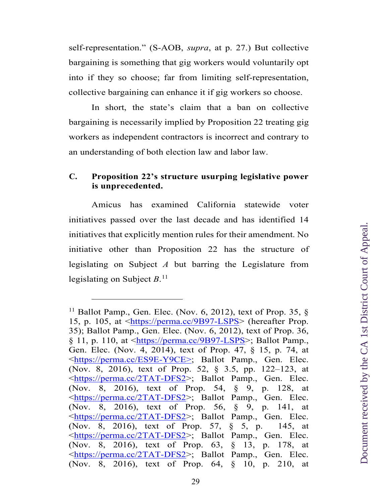self-representation." (S-AOB, *supra*, at p. 27.) But collective bargaining is something that gig workers would voluntarily opt into if they so choose; far from limiting self-representation, collective bargaining can enhance it if gig workers so choose.

In short, the state's claim that a ban on collective bargaining is necessarily implied by Proposition 22 treating gig workers as independent contractors is incorrect and contrary to an understanding of both election law and labor law.

## **C. Proposition 22's structure usurping legislative power is unprecedented.**

Amicus has examined California statewide voter initiatives passed over the last decade and has identified 14 initiatives that explicitly mention rules for their amendment. No initiative other than Proposition 22 has the structure of legislating on Subject *A* but barring the Legislature from legislating on Subject *B*. [11](#page-28-0)

<span id="page-28-0"></span><sup>&</sup>lt;sup>11</sup> Ballot Pamp., Gen. Elec. (Nov. 6, 2012), text of Prop. 35,  $\S$ 15, p. 105, at [<https://perma.cc/9B97-LSPS>](https://perma.cc/9B97-LSPS) (hereafter Prop. 35); Ballot Pamp., Gen. Elec. (Nov. 6, 2012), text of Prop. 36,  $\S 11$ , p. 110, at  $\langle \frac{https://perma.cc/9B97-LSPS>}{https://perma.cc/9B97-LSPS>}$ ; Ballot Pamp. Gen. Elec. (Nov. 4, 2014), text of Prop. 47, § 15, p. 74, at [<https://perma.cc/ES9E-Y9CE>](https://perma.cc/ES9E-Y9CE); Ballot Pamp., Gen. Elec. (Nov. 8, 2016), text of Prop. 52, § 3.5, pp. 122–123, at [<https://perma.cc/2TAT-DFS2>](https://perma.cc/2TAT-DFS2); Ballot Pamp., Gen. Elec. (Nov. 8, 2016), text of Prop. 54, § 9, p. 128, at [<https://perma.cc/2TAT-DFS2>](https://perma.cc/2TAT-DFS2); Ballot Pamp., Gen. Elec. (Nov. 8, 2016), text of Prop. 56, § 9, p. 141, at [<https://perma.cc/2TAT-DFS2>](https://perma.cc/2TAT-DFS2); Ballot Pamp., Gen. Elec. (Nov. 8, 2016), text of Prop. 57, § 5, p. 145, at [<https://perma.cc/2TAT-DFS2>](https://perma.cc/2TAT-DFS2); Ballot Pamp., Gen. Elec. (Nov. 8, 2016), text of Prop. 63, § 13, p. 178, at [<https://perma.cc/2TAT-DFS2>](https://perma.cc/2TAT-DFS2); Ballot Pamp., Gen. Elec. (Nov. 8, 2016), text of Prop. 64, § 10, p. 210, at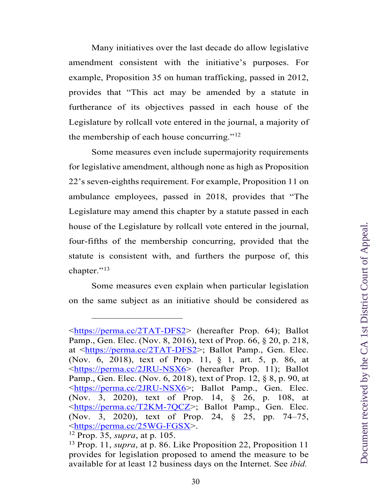Many initiatives over the last decade do allow legislative amendment consistent with the initiative's purposes. For example, Proposition 35 on human trafficking, passed in 2012, provides that "This act may be amended by a statute in furtherance of its objectives passed in each house of the Legislature by rollcall vote entered in the journal, a majority of the membership of each house concurring." $12$ 

Some measures even include supermajority requirements for legislative amendment, although none as high as Proposition 22's seven-eighths requirement. For example, Proposition 11 on ambulance employees, passed in 2018, provides that "The Legislature may amend this chapter by a statute passed in each house of the Legislature by rollcall vote entered in the journal, four-fifths of the membership concurring, provided that the statute is consistent with, and furthers the purpose of, this chapter."<sup>[13](#page-29-1)</sup>

Some measures even explain when particular legislation on the same subject as an initiative should be considered as

 $\ddot{\phantom{a}}$ 

[<sup>&</sup>lt;https://perma.cc/2TAT-DFS2>](https://perma.cc/2TAT-DFS2) (hereafter Prop. 64); Ballot Pamp., Gen. Elec. (Nov. 8, 2016), text of Prop. 66, § 20, p. 218, at [<https://perma.cc/2TAT-DFS2>](https://perma.cc/2TAT-DFS2); Ballot Pamp., Gen. Elec. (Nov. 6, 2018), text of Prop. 11, § 1, art. 5, p. 86, at [<https://perma.cc/2JRU-NSX6>](https://perma.cc/2JRU-NSX6) (hereafter Prop. 11); Ballot Pamp., Gen. Elec. (Nov. 6, 2018), text of Prop. 12, § 8, p. 90, at [<https://perma.cc/2JRU-NSX6>](https://perma.cc/2JRU-NSX6); Ballot Pamp., Gen. Elec. (Nov. 3, 2020), text of Prop. 14, § 26, p. 108, at [<https://perma.cc/T2KM-7QCZ>](https://perma.cc/T2KM-7QCZ); Ballot Pamp., Gen. Elec. (Nov. 3, 2020), text of Prop. 24, § 25, pp. 74–75, [<https://perma.cc/25WG-FGSX>](https://perma.cc/25WG-FGSX). 1[2](https://perma.cc/25WG-FGSX) Prop. 35, *supra*, at p. 105.

<span id="page-29-1"></span><span id="page-29-0"></span><sup>13</sup> Prop. 11, *supra*, at p. 86. Like Proposition 22, Proposition 11 provides for legislation proposed to amend the measure to be available for at least 12 business days on the Internet. See *ibid.*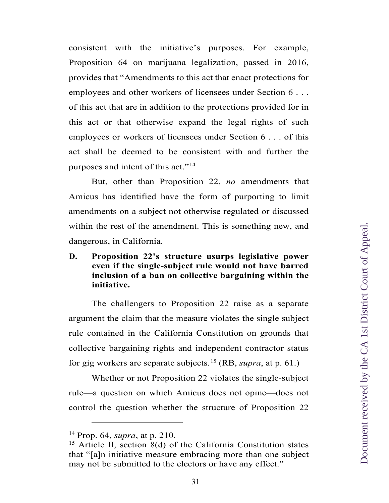consistent with the initiative's purposes. For example, Proposition 64 on marijuana legalization, passed in 2016, provides that "Amendments to this act that enact protections for employees and other workers of licensees under Section 6 . . . of this act that are in addition to the protections provided for in this act or that otherwise expand the legal rights of such employees or workers of licensees under Section 6 . . . of this act shall be deemed to be consistent with and further the purposes and intent of this act."<sup>[14](#page-30-0)</sup>

But, other than Proposition 22, *no* amendments that Amicus has identified have the form of purporting to limit amendments on a subject not otherwise regulated or discussed within the rest of the amendment. This is something new, and dangerous, in California.

## **D. Proposition 22's structure usurps legislative power even if the single-subject rule would not have barred inclusion of a ban on collective bargaining within the initiative.**

The challengers to Proposition 22 raise as a separate argument the claim that the measure violates the single subject rule contained in the California Constitution on grounds that collective bargaining rights and independent contractor status for gig workers are separate subjects.[15](#page-30-1) (RB, *supra*, at p. 61.)

Whether or not Proposition 22 violates the single-subject rule—a question on which Amicus does not opine—does not control the question whether the structure of Proposition 22

<span id="page-30-1"></span>

<span id="page-30-0"></span><sup>&</sup>lt;sup>14</sup> Prop. 64, *supra*, at p. 210.<br><sup>15</sup> Article II, section 8(d) of the California Constitution states that "[a]n initiative measure embracing more than one subject may not be submitted to the electors or have any effect."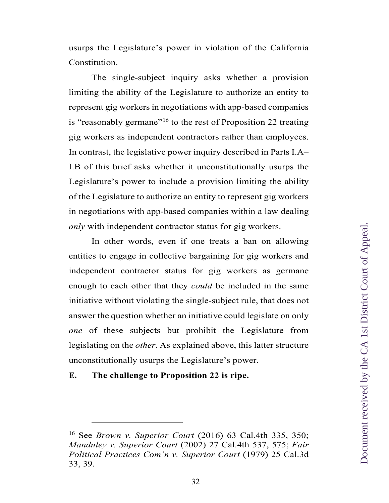usurps the Legislature's power in violation of the California Constitution.

The single-subject inquiry asks whether a provision limiting the ability of the Legislature to authorize an entity to represent gig workers in negotiations with app-based companies is "reasonably germane"<sup>[16](#page-31-0)</sup> to the rest of Proposition 22 treating gig workers as independent contractors rather than employees. In contrast, the legislative power inquiry described in Parts I.A– I.B of this brief asks whether it unconstitutionally usurps the Legislature's power to include a provision limiting the ability of the Legislature to authorize an entity to represent gig workers in negotiations with app-based companies within a law dealing *only* with independent contractor status for gig workers.

In other words, even if one treats a ban on allowing entities to engage in collective bargaining for gig workers and independent contractor status for gig workers as germane enough to each other that they *could* be included in the same initiative without violating the single-subject rule, that does not answer the question whether an initiative could legislate on only *one* of these subjects but prohibit the Legislature from legislating on the *other*. As explained above, this latter structure unconstitutionally usurps the Legislature's power.

**E. The challenge to Proposition 22 is ripe.**

<span id="page-31-0"></span><sup>16</sup> See *Brown v. Superior Court* (2016) 63 Cal.4th 335, 350; *Manduley v. Superior Court* (2002) 27 Cal.4th 537, 575; *Fair Political Practices Com'n v. Superior Court* (1979) 25 Cal.3d 33, 39.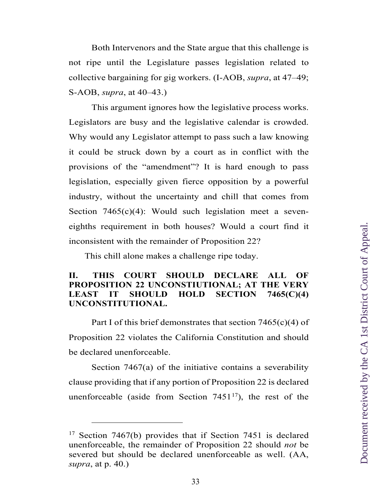Both Intervenors and the State argue that this challenge is not ripe until the Legislature passes legislation related to collective bargaining for gig workers. (I-AOB, *supra*, at 47–49; S-AOB, *supra*, at 40–43.)

This argument ignores how the legislative process works. Legislators are busy and the legislative calendar is crowded. Why would any Legislator attempt to pass such a law knowing it could be struck down by a court as in conflict with the provisions of the "amendment"? It is hard enough to pass legislation, especially given fierce opposition by a powerful industry, without the uncertainty and chill that comes from Section  $7465(c)(4)$ : Would such legislation meet a seveneighths requirement in both houses? Would a court find it inconsistent with the remainder of Proposition 22?

This chill alone makes a challenge ripe today.

## **II. THIS COURT SHOULD DECLARE ALL OF PROPOSITION 22 UNCONSTIUTIONAL; AT THE VERY LEAST IT SHOULD HOLD SECTION 7465(C)(4) UNCONSTITUTIONAL.**

Part I of this brief demonstrates that section  $7465(c)(4)$  of Proposition 22 violates the California Constitution and should be declared unenforceable.

Section 7467(a) of the initiative contains a severability clause providing that if any portion of Proposition 22 is declared unenforceable (aside from Section  $7451^{17}$ ), the rest of the

<span id="page-32-0"></span><sup>&</sup>lt;sup>17</sup> Section 7467(b) provides that if Section 7451 is declared unenforceable, the remainder of Proposition 22 should *not* be severed but should be declared unenforceable as well. (AA, *supra*, at p. 40.)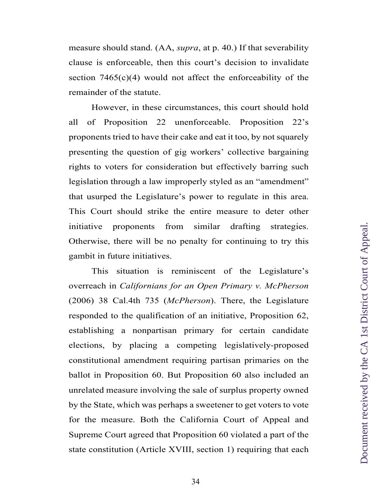measure should stand. (AA, *supra*, at p. 40.) If that severability clause is enforceable, then this court's decision to invalidate section  $7465(c)(4)$  would not affect the enforceability of the remainder of the statute.

However, in these circumstances, this court should hold all of Proposition 22 unenforceable. Proposition 22's proponents tried to have their cake and eat it too, by not squarely presenting the question of gig workers' collective bargaining rights to voters for consideration but effectively barring such legislation through a law improperly styled as an "amendment" that usurped the Legislature's power to regulate in this area. This Court should strike the entire measure to deter other initiative proponents from similar drafting strategies. Otherwise, there will be no penalty for continuing to try this gambit in future initiatives.

This situation is reminiscent of the Legislature's overreach in *Californians for an Open Primary v. McPherson* (2006) 38 Cal.4th 735 (*McPherson*). There, the Legislature responded to the qualification of an initiative, Proposition 62, establishing a nonpartisan primary for certain candidate elections, by placing a competing legislatively-proposed constitutional amendment requiring partisan primaries on the ballot in Proposition 60. But Proposition 60 also included an unrelated measure involving the sale of surplus property owned by the State, which was perhaps a sweetener to get voters to vote for the measure. Both the California Court of Appeal and Supreme Court agreed that Proposition 60 violated a part of the state constitution (Article XVIII, section 1) requiring that each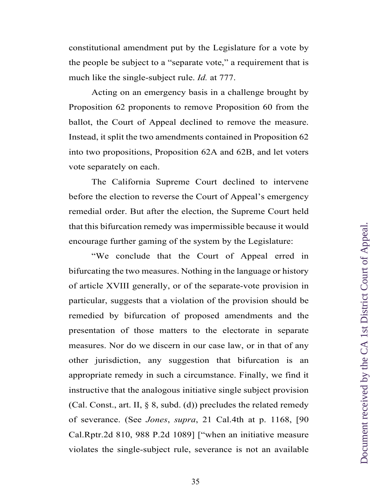constitutional amendment put by the Legislature for a vote by the people be subject to a "separate vote," a requirement that is much like the single-subject rule. *Id.* at 777.

Acting on an emergency basis in a challenge brought by Proposition 62 proponents to remove Proposition 60 from the ballot, the Court of Appeal declined to remove the measure. Instead, it split the two amendments contained in Proposition 62 into two propositions, Proposition 62A and 62B, and let voters vote separately on each.

The California Supreme Court declined to intervene before the election to reverse the Court of Appeal's emergency remedial order. But after the election, the Supreme Court held that this bifurcation remedy was impermissible because it would encourage further gaming of the system by the Legislature:

"We conclude that the Court of Appeal erred in bifurcating the two measures. Nothing in the language or history of article XVIII generally, or of the separate-vote provision in particular, suggests that a violation of the provision should be remedied by bifurcation of proposed amendments and the presentation of those matters to the electorate in separate measures. Nor do we discern in our case law, or in that of any other jurisdiction, any suggestion that bifurcation is an appropriate remedy in such a circumstance. Finally, we find it instructive that the analogous initiative single subject provision (Cal. Const., art. II,  $\S$  8, subd. (d)) precludes the related remedy of severance. (See *Jones*, *supra*, 21 Cal.4th at p. 1168, [90 Cal.Rptr.2d 810, 988 P.2d 1089] ["when an initiative measure violates the single-subject rule, severance is not an available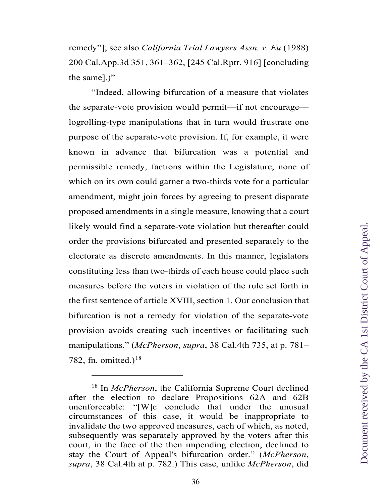remedy"]; see also *California Trial Lawyers Assn. v. Eu* (1988) 200 Cal.App.3d 351, 361–362, [245 Cal.Rptr. 916] [concluding the same].)"

"Indeed, allowing bifurcation of a measure that violates the separate-vote provision would permit—if not encourage logrolling-type manipulations that in turn would frustrate one purpose of the separate-vote provision. If, for example, it were known in advance that bifurcation was a potential and permissible remedy, factions within the Legislature, none of which on its own could garner a two-thirds vote for a particular amendment, might join forces by agreeing to present disparate proposed amendments in a single measure, knowing that a court likely would find a separate-vote violation but thereafter could order the provisions bifurcated and presented separately to the electorate as discrete amendments. In this manner, legislators constituting less than two-thirds of each house could place such measures before the voters in violation of the rule set forth in the first sentence of article XVIII, section 1. Our conclusion that bifurcation is not a remedy for violation of the separate-vote provision avoids creating such incentives or facilitating such manipulations." (*McPherson*, *supra*, 38 Cal.4th 735, at p. 781– 782, fn. omitted.)<sup>[18](#page-35-0)</sup>

<span id="page-35-0"></span><sup>18</sup> In *McPherson*, the California Supreme Court declined after the election to declare Propositions 62A and 62B unenforceable: "[W]e conclude that under the unusual circumstances of this case, it would be inappropriate to invalidate the two approved measures, each of which, as noted, subsequently was separately approved by the voters after this court, in the face of the then impending election, declined to stay the Court of Appeal's bifurcation order." (*McPherson*, *supra*, 38 Cal.4th at p. 782.) This case, unlike *McPherson*, did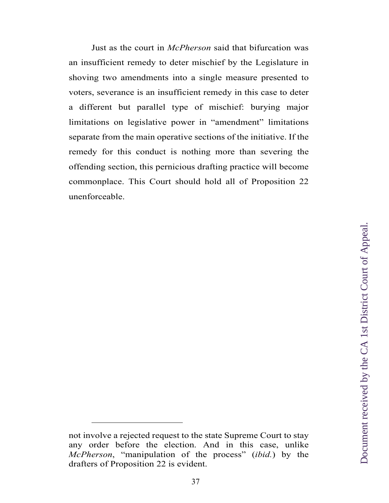Just as the court in *McPherson* said that bifurcation was an insufficient remedy to deter mischief by the Legislature in shoving two amendments into a single measure presented to voters, severance is an insufficient remedy in this case to deter a different but parallel type of mischief: burying major limitations on legislative power in "amendment" limitations separate from the main operative sections of the initiative. If the remedy for this conduct is nothing more than severing the offending section, this pernicious drafting practice will become commonplace. This Court should hold all of Proposition 22 unenforceable.

not involve a rejected request to the state Supreme Court to stay any order before the election. And in this case, unlike *McPherson*, "manipulation of the process" (*ibid.*) by the drafters of Proposition 22 is evident.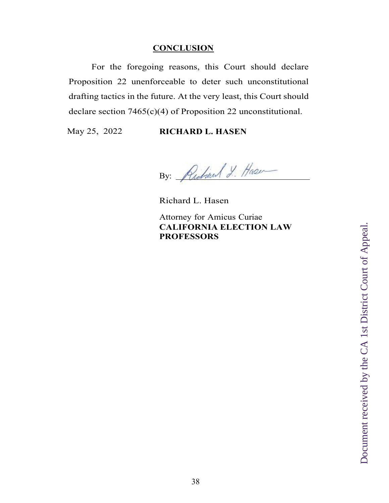### **CONCLUSION**

For the foregoing reasons, this Court should declare Proposition 22 unenforceable to deter such unconstitutional drafting tactics in the future. At the very least, this Court should declare section 7465(c)(4) of Proposition 22 unconstitutional.

## May 25, 2022 **RICHARD L. HASEN**

By: Richard J. Hase

Richard L. Hasen

Attorney for Amicus Curiae **CALIFORNIA ELECTION LAW PROFESSORS**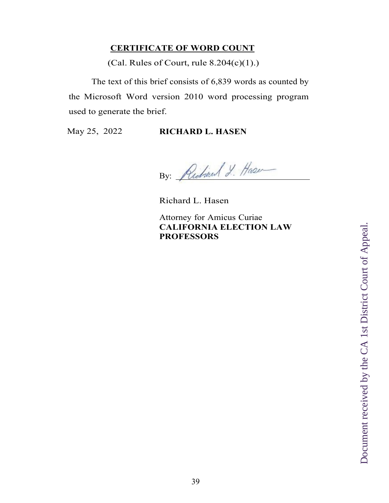## **CERTIFICATE OF WORD COUNT**

(Cal. Rules of Court, rule  $8.204(c)(1)$ .)

The text of this brief consists of 6,839 words as counted by the Microsoft Word version 2010 word processing program used to generate the brief.

## May 25, 2022 **RICHARD L. HASEN**

By: Richard J. Haser

Richard L. Hasen

Attorney for Amicus Curiae **CALIFORNIA ELECTION LAW PROFESSORS**